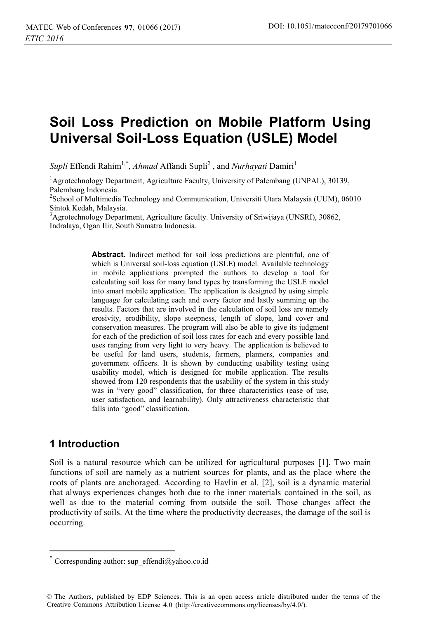# **Soil Loss Prediction on Mobile Platform Using Universal Soil-Loss Equation (USLE) Model**

*Supli* Effendi Rahim<sup>1,\*</sup>, *Ahmad* Affandi Supli<sup>2</sup>, and *Nurhayati* Damiri<sup>1</sup>

<sup>1</sup>Agrotechnology Department, Agriculture Faculty, University of Palembang (UNPAL), 30139, Palembang Indonesia.

<sup>2</sup> School of Multimedia Technology and Communication, Universiti Utara Malaysia (UUM), 06010 Sintok Kedah, Malaysia.

<sup>3</sup>Agrotechnology Department, Agriculture faculty. University of Sriwijaya (UNSRI), 30862, Indralaya, Ogan Ilir, South Sumatra Indonesia.

> **Abstract.** Indirect method for soil loss predictions are plentiful, one of which is Universal soil-loss equation (USLE) model. Available technology in mobile applications prompted the authors to develop a tool for calculating soil loss for many land types by transforming the USLE model into smart mobile application. The application is designed by using simple language for calculating each and every factor and lastly summing up the results. Factors that are involved in the calculation of soil loss are namely erosivity, erodibility, slope steepness, length of slope, land cover and conservation measures. The program will also be able to give its judgment for each of the prediction of soil loss rates for each and every possible land uses ranging from very light to very heavy. The application is believed to be useful for land users, students, farmers, planners, companies and government officers. It is shown by conducting usability testing using usability model, which is designed for mobile application. The results showed from 120 respondents that the usability of the system in this study was in "very good" classification, for three characteristics (ease of use, user satisfaction, and learnability). Only attractiveness characteristic that falls into "good" classification.

### **1 Introduction**

-

Soil is a natural resource which can be utilized for agricultural purposes [1]. Two main functions of soil are namely as a nutrient sources for plants, and as the place where the roots of plants are anchoraged. According to Havlin et al. [2], soil is a dynamic material that always experiences changes both due to the inner materials contained in the soil, as well as due to the material coming from outside the soil. Those changes affect the productivity of soils. At the time where the productivity decreases, the damage of the soil is occurring.

Corresponding author: sup\_effendi@yahoo.co.id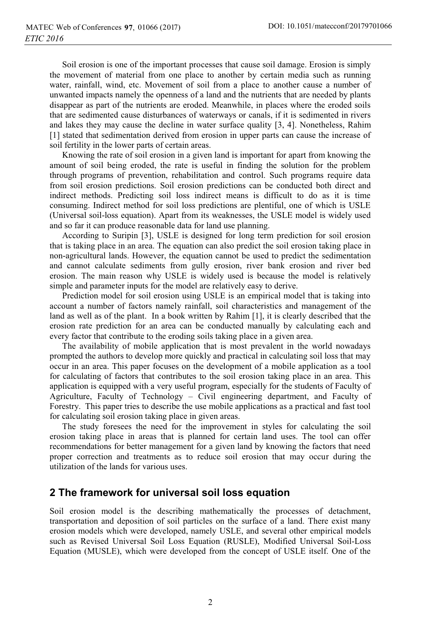Soil erosion is one of the important processes that cause soil damage. Erosion is simply the movement of material from one place to another by certain media such as running water, rainfall, wind, etc. Movement of soil from a place to another cause a number of unwanted impacts namely the openness of a land and the nutrients that are needed by plants disappear as part of the nutrients are eroded. Meanwhile, in places where the eroded soils that are sedimented cause disturbances of waterways or canals, if it is sedimented in rivers and lakes they may cause the decline in water surface quality [3, 4]. Nonetheless, Rahim [1] stated that sedimentation derived from erosion in upper parts can cause the increase of soil fertility in the lower parts of certain areas.

Knowing the rate of soil erosion in a given land is important for apart from knowing the amount of soil being eroded, the rate is useful in finding the solution for the problem through programs of prevention, rehabilitation and control. Such programs require data from soil erosion predictions. Soil erosion predictions can be conducted both direct and indirect methods. Predicting soil loss indirect means is difficult to do as it is time consuming. Indirect method for soil loss predictions are plentiful, one of which is USLE (Universal soil-loss equation). Apart from its weaknesses, the USLE model is widely used and so far it can produce reasonable data for land use planning.

According to Suripin [3], USLE is designed for long term prediction for soil erosion that is taking place in an area. The equation can also predict the soil erosion taking place in non-agricultural lands. However, the equation cannot be used to predict the sedimentation and cannot calculate sediments from gully erosion, river bank erosion and river bed erosion. The main reason why USLE is widely used is because the model is relatively simple and parameter inputs for the model are relatively easy to derive.

Prediction model for soil erosion using USLE is an empirical model that is taking into account a number of factors namely rainfall, soil characteristics and management of the land as well as of the plant. In a book written by Rahim [1], it is clearly described that the erosion rate prediction for an area can be conducted manually by calculating each and every factor that contribute to the eroding soils taking place in a given area.

The availability of mobile application that is most prevalent in the world nowadays prompted the authors to develop more quickly and practical in calculating soil loss that may occur in an area. This paper focuses on the development of a mobile application as a tool for calculating of factors that contributes to the soil erosion taking place in an area. This application is equipped with a very useful program, especially for the students of Faculty of Agriculture, Faculty of Technology – Civil engineering department, and Faculty of Forestry. This paper tries to describe the use mobile applications as a practical and fast tool for calculating soil erosion taking place in given areas.

The study foresees the need for the improvement in styles for calculating the soil erosion taking place in areas that is planned for certain land uses. The tool can offer recommendations for better management for a given land by knowing the factors that need proper correction and treatments as to reduce soil erosion that may occur during the utilization of the lands for various uses.

#### **2 The framework for universal soil loss equation**

Soil erosion model is the describing mathematically the processes of detachment, transportation and deposition of soil particles on the surface of a land. There exist many erosion models which were developed, namely USLE, and several other empirical models such as Revised Universal Soil Loss Equation (RUSLE), Modified Universal Soil-Loss Equation (MUSLE), which were developed from the concept of USLE itself. One of the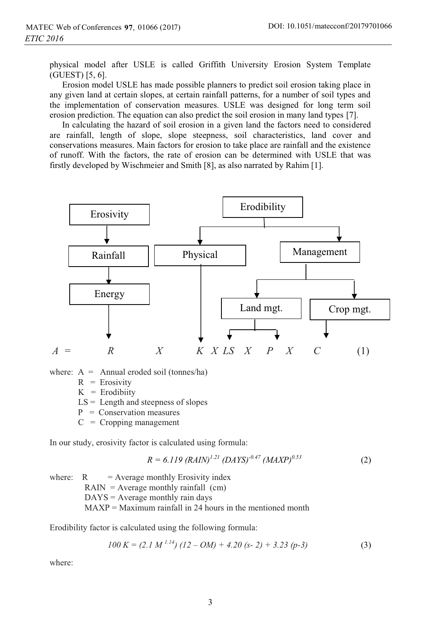physical model after USLE is called Griffith University Erosion System Template (GUEST) [5, 6].

Erosion model USLE has made possible planners to predict soil erosion taking place in any given land at certain slopes, at certain rainfall patterns, for a number of soil types and the implementation of conservation measures. USLE was designed for long term soil erosion prediction. The equation can also predict the soil erosion in many land types [7].

In calculating the hazard of soil erosion in a given land the factors need to considered are rainfall, length of slope, slope steepness, soil characteristics, land cover and conservations measures. Main factors for erosion to take place are rainfall and the existence of runoff. With the factors, the rate of erosion can be determined with USLE that was firstly developed by Wischmeier and Smith [8], as also narrated by Rahim [1].



where:  $A =$  Annual eroded soil (tonnes/ha)

- $R$  = Erosivity
- $K =$  Erodibiity
- $LS = Length$  and steepness of slopes
- $P =$  Conservation measures
- $C = C$ ropping management

In our study, erosivity factor is calculated using formula:

$$
R = 6.119 (RAIN)^{1.21} (DAYS)^{-0.47} (MAXP)^{0.53}
$$
 (2)

where:  $R = Average monthly Erosivity index$ 

RAIN = Average monthly rainfall  $(cm)$ 

DAYS = Average monthly rain days

 $MAXP = Maximum$  rainfall in 24 hours in the mentioned month

Erodibility factor is calculated using the following formula:

$$
100 K = (2.1 M1.14) (12 – OM) + 4.20 (s-2) + 3.23 (p-3)
$$
 (3)

where: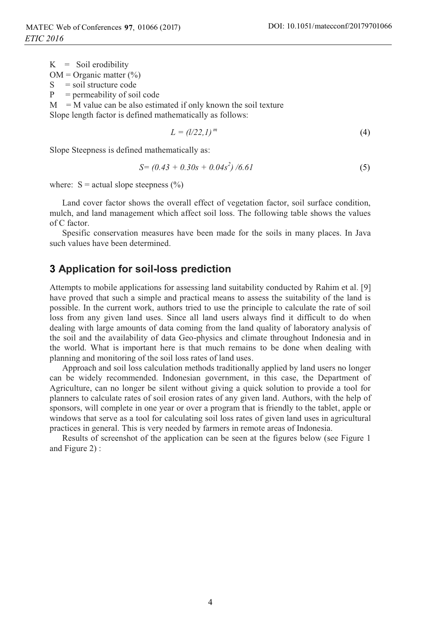$K =$  Soil erodibility  $OM =$  Organic matter  $(\%)$  $S =$ soil structure code  $P =$  permeability of soil code  $M = M$  value can be also estimated if only known the soil texture Slope length factor is defined mathematically as follows:

$$
L = (l/22, 1)^m \tag{4}
$$

Slope Steepness is defined mathematically as:

$$
S = (0.43 + 0.30s + 0.04s^2) / 6.61
$$
\n<sup>(5)</sup>

where:  $S =$  actual slope steepness  $(\%)$ 

Land cover factor shows the overall effect of vegetation factor, soil surface condition, mulch, and land management which affect soil loss. The following table shows the values of C factor.

Spesific conservation measures have been made for the soils in many places. In Java such values have been determined.

#### **3 Application for soil-loss prediction**

Attempts to mobile applications for assessing land suitability conducted by Rahim et al. [9] have proved that such a simple and practical means to assess the suitability of the land is possible. In the current work, authors tried to use the principle to calculate the rate of soil loss from any given land uses. Since all land users always find it difficult to do when dealing with large amounts of data coming from the land quality of laboratory analysis of the soil and the availability of data Geo-physics and climate throughout Indonesia and in the world. What is important here is that much remains to be done when dealing with planning and monitoring of the soil loss rates of land uses.

Approach and soil loss calculation methods traditionally applied by land users no longer can be widely recommended. Indonesian government, in this case, the Department of Agriculture, can no longer be silent without giving a quick solution to provide a tool for planners to calculate rates of soil erosion rates of any given land. Authors, with the help of sponsors, will complete in one year or over a program that is friendly to the tablet, apple or windows that serve as a tool for calculating soil loss rates of given land uses in agricultural practices in general. This is very needed by farmers in remote areas of Indonesia.

Results of screenshot of the application can be seen at the figures below (see Figure 1 and Figure 2) :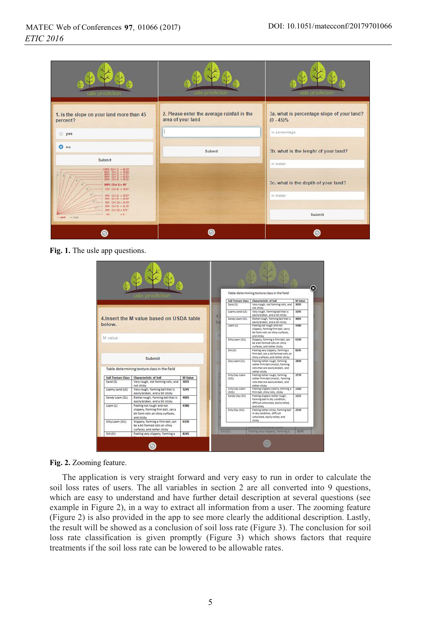| usic prediction                                                                                                                                                                                                                                                                                                                                                                         | usle prediction                                                  | usle prediction                                           |
|-----------------------------------------------------------------------------------------------------------------------------------------------------------------------------------------------------------------------------------------------------------------------------------------------------------------------------------------------------------------------------------------|------------------------------------------------------------------|-----------------------------------------------------------|
| 1. is the slope on your land more than 45<br>percent?                                                                                                                                                                                                                                                                                                                                   | 2. Please enter the average rainfall in the<br>area of your land | 3a. what is percentage slope of your land?<br>$(0 - 45)%$ |
| yes                                                                                                                                                                                                                                                                                                                                                                                     |                                                                  | in percentage                                             |
| O <sub>no</sub>                                                                                                                                                                                                                                                                                                                                                                         | Submit                                                           | 3b. what is the lenght of your land?                      |
| Submit                                                                                                                                                                                                                                                                                                                                                                                  |                                                                  | in meter                                                  |
| 1000% (10 in 1) = 84.29"<br>500% (5 in 1) ~ 78.69"<br>$\begin{array}{c} 300\% \end{array} \begin{array}{c} (3\,m\,1) \end{array} \begin{array}{c} +\,7157^{\circ} \\ -\,6343^{\circ} \\ 100\% \end{array}$<br>100% (1 in 1) = 45°<br>$75\%$ (3 in 41 = 36 87 <sup>e</sup> )<br>50% (1 in 2) = 2657*<br>40% (2 in St = 31.80")<br>30% (3 in 10 = 16.70*<br>$20\%$ (1 in 51 $\div$ 11 31" |                                                                  | 3c. what is the depth of your land?<br>in meter           |
| $10\%$ (1 in $10 \approx 5.71$ <sup>*</sup><br>O%<br>$= 0$<br>$-$ gode $-$ stops                                                                                                                                                                                                                                                                                                        |                                                                  | Submit                                                    |
|                                                                                                                                                                                                                                                                                                                                                                                         |                                                                  |                                                           |

**Fig. 1.** The usle app questions.

|                    |                                                                                                                    |         |    |                              |                                                                                                                          | Ω       |
|--------------------|--------------------------------------------------------------------------------------------------------------------|---------|----|------------------------------|--------------------------------------------------------------------------------------------------------------------------|---------|
|                    | usie prediction.                                                                                                   |         |    |                              | Table determining texture class in the field                                                                             |         |
|                    |                                                                                                                    |         |    | Soil Texture Class           | Characteristic of Soil                                                                                                   | M Value |
|                    |                                                                                                                    |         |    | Sand (S)                     | Very rough, not forming rolls, and<br>not sticky                                                                         | 3035    |
|                    |                                                                                                                    |         | 4. | Loamy sand (LS)              | Very rough, forming ball that is<br>easily broken, and a bit sticky                                                      | 3245    |
|                    | 4. Insert the M value based on USDA table                                                                          |         | be | Sandy Loam (SL)              | Rather rough, forming ball that is<br>easily broken, and a bit sticky                                                    | 4005    |
| below.             |                                                                                                                    |         |    | Loam (L)                     | Feeling not rough and not<br>slippery, forming firm ball, can a<br>bit form rolls on shiny surfaces.<br>and sticky.      | 4380    |
| M value            |                                                                                                                    |         |    | Silty Loam (SiL)             | Slippery, forming a firm ball, can<br>be a bit formed rolls on shiny<br>surfaces, and rather sticky                      | 6330    |
|                    | Submit                                                                                                             |         |    | $S\ddot{\equiv}tS0$          | Feeling very slippery, forming a<br>firm ball, can a bit formed rolls on<br>shiny surfaces, and rather sticky            | 8245    |
|                    | Table determining texture class in the field                                                                       |         |    | Clay Loam (CL)               | Feeling rather rough, forming<br>rather firm ball (moist), forming<br>rolls that are easily broken, and<br>rather sticky | 2830    |
| Soil Texture Class | Characteristic of Soil                                                                                             | M Value |    | Silty Clay Loam<br>(5C1)     | Feeling rather rough, forming<br>rather firm ball (moist), forming                                                       | 3770    |
| Sand (S)           | Very rough, not forming rolls, and<br>not sticky                                                                   | 3035    |    |                              | rolls that are easily broken, and<br>rather sticky                                                                       |         |
| Loamy sand (LS)    | Very rough, forming ball that is<br>easily broken, and a bit sticky                                                | 3245    |    | Silty Clay Loam<br>$(5)$ CLY | Feeling slippery clearly, forming a<br>firm ball, shiny rolls, sticky                                                    | 2160    |
| Sandy Loam (SL)    | Rather rough, forming ball that is<br>easily broken, and a bit sticky                                              | 4005    |    | Sandy Day (SC)               | Feeling slippery rather rough.<br>forming ball in dry condition.<br>difficult untwisted, easily rolled,                  | 1215    |
| Loam (L)           | Feeling not rough and not<br>slippery, forming firm ball, can a<br>bit form rolls on shiny surfaces.<br>and sticky | 4380    |    | Silty Clay (SIC)             | and sticky<br>Feeling rather sticky, forming ball<br>in dry condition, difficult<br>untwisted, easily rolled, and        | 2510    |
| Silty Loam (SiL)   | Slippery, forming a firm ball, can<br>be a bit formed rolls on shiny<br>surfaces, and rather sticky                | 6330    |    |                              | sticky                                                                                                                   |         |
| Silt (Si)          | Feeling very slippery, forming a                                                                                   | 8245    |    | SIHANI                       | Feeling very slippery. Tomling a                                                                                         | 8245    |
|                    |                                                                                                                    |         |    |                              |                                                                                                                          |         |

**Fig. 2.** Zooming feature.

The application is very straight forward and very easy to run in order to calculate the soil loss rates of users. The all variables in section 2 are all converted into 9 questions, which are easy to understand and have further detail description at several questions (see example in Figure 2), in a way to extract all information from a user. The zooming feature (Figure 2) is also provided in the app to see more clearly the additional description. Lastly, the result will be showed as a conclusion of soil loss rate (Figure 3). The conclusion for soil loss rate classification is given promptly (Figure 3) which shows factors that require treatments if the soil loss rate can be lowered to be allowable rates.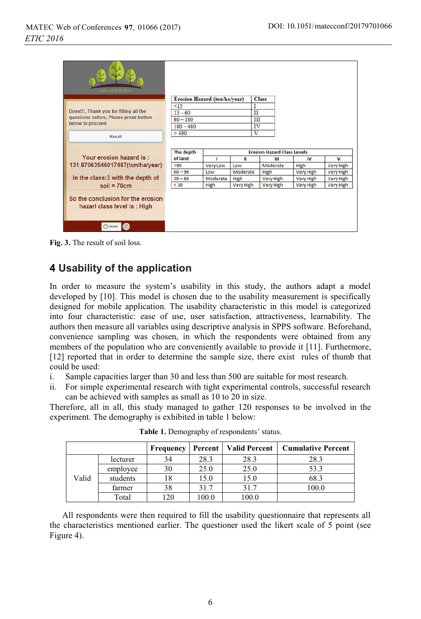|                                                                                 |             | Erosion Hazard (ton/ha/year) |          | <b>Class</b>                       |                  |                                                          |
|---------------------------------------------------------------------------------|-------------|------------------------------|----------|------------------------------------|------------------|----------------------------------------------------------|
| Done!!!, Thank you for filling all the<br>questions before, Please press button | <15         |                              |          |                                    |                  |                                                          |
|                                                                                 | $15 - 60$   |                              | $_{II}$  |                                    |                  |                                                          |
|                                                                                 | $60 - 180$  |                              | III      |                                    |                  |                                                          |
| below to proceed                                                                | $180 - 480$ |                              | IV       |                                    |                  |                                                          |
| Result                                                                          | >480        |                              | V        |                                    |                  |                                                          |
|                                                                                 | The depth   |                              |          | <b>Erosion Hazard Class Levels</b> |                  |                                                          |
| Your erosion hazard is:                                                         | of land     | п                            | Ш        | Ш                                  | <b>IV</b>        | $\mathbf{v}$                                             |
| 131.87063546017487(ton/ha/year)                                                 | >90         | <b>Very Low</b>              | Low      | Moderate                           | High             |                                                          |
|                                                                                 | $60 - 90$   | Low                          | Moderate | High                               | <b>Very High</b> |                                                          |
| In the class: 3 with the depth of                                               | $30 - 60$   | Moderate                     | High     | <b>Very High</b>                   | <b>Very High</b> | <b>Very High</b><br><b>Very High</b><br><b>Very High</b> |

**Fig. 3.** The result of soil loss.

## **4 Usability of the application**

In order to measure the system's usability in this study, the authors adapt a model developed by [10]. This model is chosen due to the usability measurement is specifically designed for mobile application. The usability characteristic in this model is categorized into four characteristic: ease of use, user satisfaction, attractiveness, learnability. The authors then measure all variables using descriptive analysis in SPPS software. Beforehand, convenience sampling was chosen, in which the respondents were obtained from any members of the population who are conveniently available to provide it [11]. Furthermore, [12] reported that in order to determine the sample size, there exist rules of thumb that could be used:

- i. Sample capacities larger than 30 and less than 500 are suitable for most research.
- ii. For simple experimental research with tight experimental controls, successful research can be achieved with samples as small as 10 to 20 in size.

Therefore, all in all, this study managed to gather 120 responses to be involved in the experiment. The demography is exhibited in table 1 below:

|       |          | <b>Frequency</b> | <b>Percent</b> | <b>Valid Percent</b> | <b>Cumulative Percent</b> |
|-------|----------|------------------|----------------|----------------------|---------------------------|
|       | lecturer | 34               | 28.3           | 28.3                 | 28.3                      |
|       | employee | 30               | 25.0           | 25.0                 | 53.3                      |
| Valid | students | 18               | 15.0           | 15.0                 | 68.3                      |
|       | farmer   | 38               | 31.7           | 31.7                 | 100.0                     |
|       | Total    | 120              | 100.0          | 100.0                |                           |

All respondents were then required to fill the usability questionnaire that represents all the characteristics mentioned earlier. The questioner used the likert scale of 5 point (see Figure 4).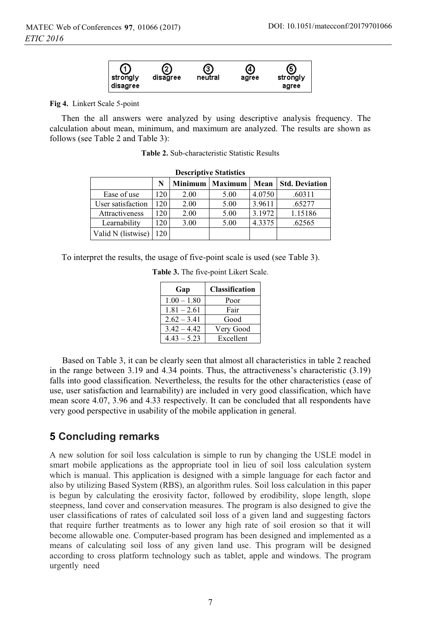

**Fig .** Linkert Scale 5-point **4**

Then the all answers were analyzed by using descriptive analysis frequency. The calculation about mean, minimum, and maximum are analyzed. The results are shown as follows (see Table 2 and Table 3):

**Table 2.** Sub-characteristic Statistic Results

| <b>Descriptive Statistics</b> |     |      |                   |        |                       |  |
|-------------------------------|-----|------|-------------------|--------|-----------------------|--|
|                               | N   |      | Minimum   Maximum | Mean   | <b>Std. Deviation</b> |  |
| Ease of use                   | 120 | 2.00 | 5.00              | 4.0750 | .60311                |  |
| User satisfaction             | 120 | 2.00 | 5.00              | 3.9611 | .65277                |  |
| Attractiveness                | 120 | 2.00 | 5.00              | 3.1972 | 1.15186               |  |
| Learnability                  | 120 | 3.00 | 5.00              | 4.3375 | .62565                |  |
| Valid N (listwise)            | 120 |      |                   |        |                       |  |

To interpret the results, the usage of five-point scale is used (see Table 3).

| <b>Table 3.</b> The five-point Likert Scale. |                       |  |  |
|----------------------------------------------|-----------------------|--|--|
| Gap                                          | <b>Classification</b> |  |  |
| $00 - 1.80$                                  |                       |  |  |

| Gap           | <b>Classification</b> |
|---------------|-----------------------|
| $1.00 - 1.80$ | Poor                  |
| $1.81 - 2.61$ | Fair                  |
| $2.62 - 3.41$ | Good                  |
| $3.42 - 4.42$ | Very Good             |
| $4.43 - 5.23$ | Excellent             |

Based on Table 3, it can be clearly seen that almost all characteristics in table 2 reached in the range between 3.19 and 4.34 points. Thus, the attractiveness's characteristic (3.19) falls into good classification. Nevertheless, the results for the other characteristics (ease of use, user satisfaction and learnability) are included in very good classification, which have mean score 4.07, 3.96 and 4.33 respectively. It can be concluded that all respondents have very good perspective in usability of the mobile application in general.

## **5 Concluding remarks**

A new solution for soil loss calculation is simple to run by changing the USLE model in smart mobile applications as the appropriate tool in lieu of soil loss calculation system which is manual. This application is designed with a simple language for each factor and also by utilizing Based System (RBS), an algorithm rules. Soil loss calculation in this paper is begun by calculating the erosivity factor, followed by erodibility, slope length, slope steepness, land cover and conservation measures. The program is also designed to give the user classifications of rates of calculated soil loss of a given land and suggesting factors that require further treatments as to lower any high rate of soil erosion so that it will become allowable one. Computer-based program has been designed and implemented as a means of calculating soil loss of any given land use. This program will be designed according to cross platform technology such as tablet, apple and windows. The program urgently need